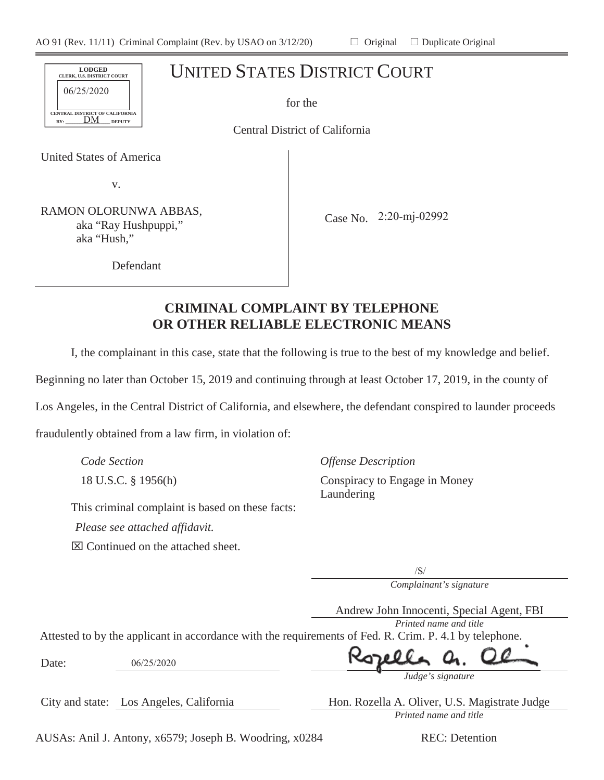| <b>LODGED</b><br>CLERK, U.S. DISTRICT COURT<br>06/25/2020 | <b>UNITED STATES DISTRICT COURT</b> |
|-----------------------------------------------------------|-------------------------------------|
| CENTRAL DISTRICT OF CALIFORNIA                            | for the                             |
| DΜ<br><b>DEPUTY</b><br>BY:                                | Central District of California      |
| United States of America                                  |                                     |
| v.                                                        |                                     |
|                                                           |                                     |

RAMON OLORUNWA ABBAS, aka "Ray Hushpuppi," aka "Hush,"

Case No. 2:20-mj-02992

Defendant

# **CRIMINAL COMPLAINT BY TELEPHONE OR OTHER RELIABLE ELECTRONIC MEANS**

I, the complainant in this case, state that the following is true to the best of my knowledge and belief.

Beginning no later than October 15, 2019 and continuing through at least October 17, 2019, in the county of

Los Angeles, in the Central District of California, and elsewhere, the defendant conspired to launder proceeds

fraudulently obtained from a law firm, in violation of:

*Code Section Offense Description*

18 U.S.C. § 1956(h) Conspiracy to Engage in Money Laundering

This criminal complaint is based on these facts:

*Please see attached affidavit.*

 $\boxtimes$  Continued on the attached sheet.

 $\sqrt{S}$ 

*Complainant's signature*

Andrew John Innocenti, Special Agent, FBI

*Printed name and title*

Attested to by the applicant in accordance with the requirements of Fed. R. Crim. P. 4.1 by telephone.

Date:

 $06/25/2020$ 



City and state: Los Angeles, California Hon. Rozella A. Oliver, U.S. Magistrate Judge *Printed name and title*

AUSAs: Anil J. Antony, x6579; Joseph B. Woodring, x0284 REC: Detention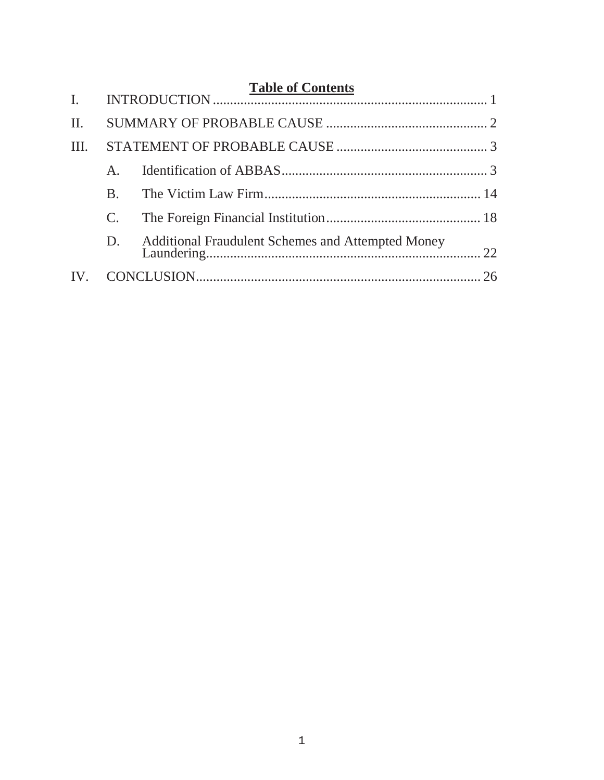| II.  |              |                                                   |  |
|------|--------------|---------------------------------------------------|--|
| III. |              |                                                   |  |
|      | $\mathsf{A}$ |                                                   |  |
|      | <b>B.</b>    |                                                   |  |
|      |              |                                                   |  |
|      | D.           | Additional Fraudulent Schemes and Attempted Money |  |
| IV.  |              |                                                   |  |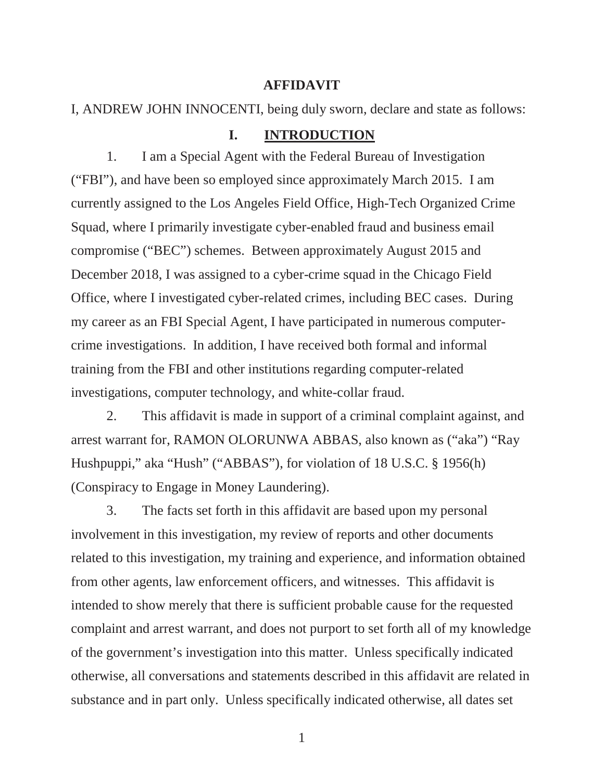#### **AFFIDAVIT**

## I, ANDREW JOHN INNOCENTI, being duly sworn, declare and state as follows:

#### **I. INTRODUCTION**

1. I am a Special Agent with the Federal Bureau of Investigation ("FBI"), and have been so employed since approximately March 2015. I am currently assigned to the Los Angeles Field Office, High-Tech Organized Crime Squad, where I primarily investigate cyber-enabled fraud and business email compromise ("BEC") schemes. Between approximately August 2015 and December 2018, I was assigned to a cyber-crime squad in the Chicago Field Office, where I investigated cyber-related crimes, including BEC cases. During my career as an FBI Special Agent, I have participated in numerous computercrime investigations. In addition, I have received both formal and informal training from the FBI and other institutions regarding computer-related investigations, computer technology, and white-collar fraud.

2. This affidavit is made in support of a criminal complaint against, and arrest warrant for, RAMON OLORUNWA ABBAS, also known as ("aka") "Ray Hushpuppi," aka "Hush" ("ABBAS"), for violation of 18 U.S.C. § 1956(h) (Conspiracy to Engage in Money Laundering).

3. The facts set forth in this affidavit are based upon my personal involvement in this investigation, my review of reports and other documents related to this investigation, my training and experience, and information obtained from other agents, law enforcement officers, and witnesses. This affidavit is intended to show merely that there is sufficient probable cause for the requested complaint and arrest warrant, and does not purport to set forth all of my knowledge of the government's investigation into this matter. Unless specifically indicated otherwise, all conversations and statements described in this affidavit are related in substance and in part only. Unless specifically indicated otherwise, all dates set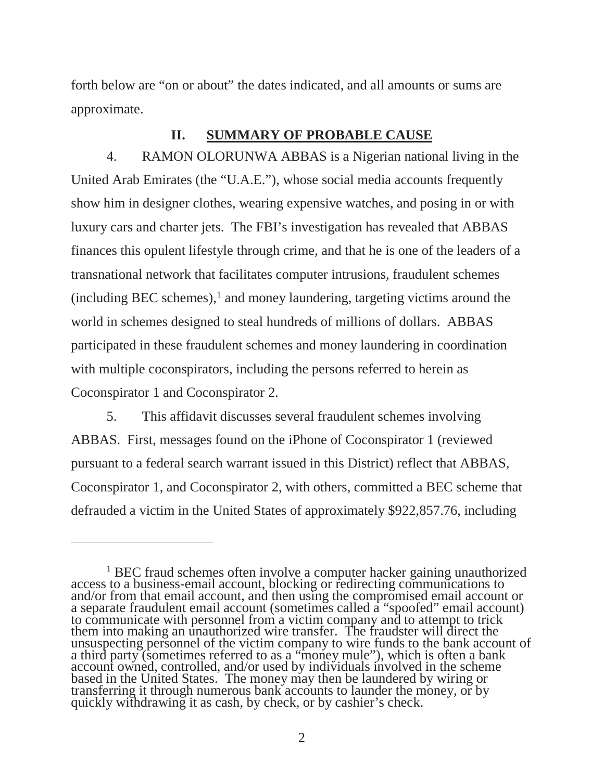forth below are "on or about" the dates indicated, and all amounts or sums are approximate.

# **II. SUMMARY OF PROBABLE CAUSE**

4. RAMON OLORUNWA ABBAS is a Nigerian national living in the United Arab Emirates (the "U.A.E."), whose social media accounts frequently show him in designer clothes, wearing expensive watches, and posing in or with luxury cars and charter jets. The FBI's investigation has revealed that ABBAS finances this opulent lifestyle through crime, and that he is one of the leaders of a transnational network that facilitates computer intrusions, fraudulent schemes  $(including BEC schemes)$ , and money laundering, targeting victims around the world in schemes designed to steal hundreds of millions of dollars. ABBAS participated in these fraudulent schemes and money laundering in coordination with multiple coconspirators, including the persons referred to herein as Coconspirator 1 and Coconspirator 2.

5. This affidavit discusses several fraudulent schemes involving ABBAS. First, messages found on the iPhone of Coconspirator 1 (reviewed pursuant to a federal search warrant issued in this District) reflect that ABBAS, Coconspirator 1, and Coconspirator 2, with others, committed a BEC scheme that defrauded a victim in the United States of approximately \$922,857.76, including

<sup>&</sup>lt;sup>1</sup> BEC fraud schemes often involve a computer hacker gaining unauthorized access to a business-email account, blocking or redirecting communications to and/or from that email account, and then using the compromised email a separate fraudulent email account (sometimes called a "spoofed" email account) to communicate with personnel from a victim company and to attempt to trick to communicate with personnel from a victim company and to attempt to trick<br>them into making an unauthorized wire transfer. The fraudster will direct the unsuspecting personnel of the victim company to wire funds to the bank account of a third party (sometimes referred to as a "money mule"), which is often a bank account owned, controlled, and/or used by individuals involved in the scheme based in the United States. The money may then be laundered by wiring or transferring it through numerous bank accounts to launder the money, or by quickly withdrawing it as cash, by check, or by cashier's check.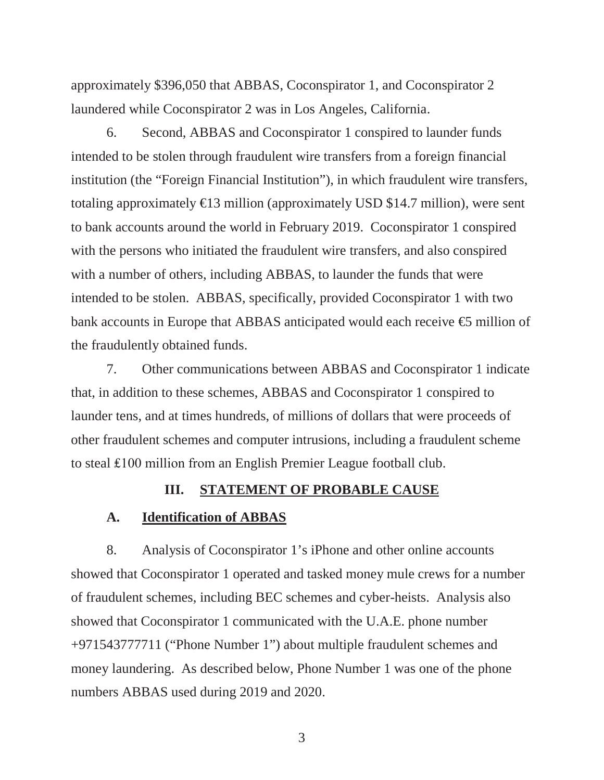approximately \$396,050 that ABBAS, Coconspirator 1, and Coconspirator 2 laundered while Coconspirator 2 was in Los Angeles, California.

6. Second, ABBAS and Coconspirator 1 conspired to launder funds intended to be stolen through fraudulent wire transfers from a foreign financial institution (the "Foreign Financial Institution"), in which fraudulent wire transfers, totaling approximately  $\in$  3 million (approximately USD \$14.7 million), were sent to bank accounts around the world in February 2019. Coconspirator 1 conspired with the persons who initiated the fraudulent wire transfers, and also conspired with a number of others, including ABBAS, to launder the funds that were intended to be stolen. ABBAS, specifically, provided Coconspirator 1 with two bank accounts in Europe that ABBAS anticipated would each receive  $\oplus$  million of the fraudulently obtained funds.

7. Other communications between ABBAS and Coconspirator 1 indicate that, in addition to these schemes, ABBAS and Coconspirator 1 conspired to launder tens, and at times hundreds, of millions of dollars that were proceeds of other fraudulent schemes and computer intrusions, including a fraudulent scheme to steal  $£100$  million from an English Premier League football club.

# **III. STATEMENT OF PROBABLE CAUSE**

#### **A. Identification of ABBAS**

8. Analysis of Coconspirator 1's iPhone and other online accounts showed that Coconspirator 1 operated and tasked money mule crews for a number of fraudulent schemes, including BEC schemes and cyber-heists. Analysis also showed that Coconspirator 1 communicated with the U.A.E. phone number +971543777711 ("Phone Number 1") about multiple fraudulent schemes and money laundering. As described below, Phone Number 1 was one of the phone numbers ABBAS used during 2019 and 2020.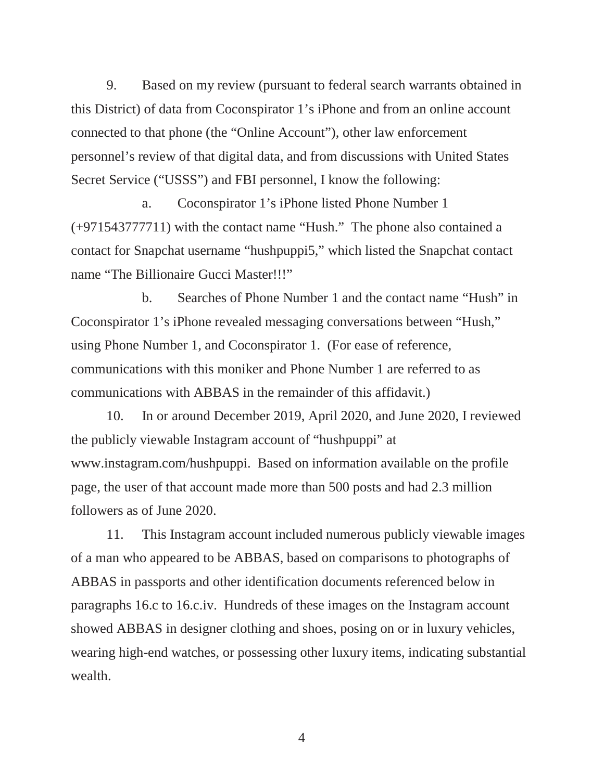9. Based on my review (pursuant to federal search warrants obtained in this District) of data from Coconspirator 1's iPhone and from an online account connected to that phone (the "Online Account"), other law enforcement personnel's review of that digital data, and from discussions with United States Secret Service ("USSS") and FBI personnel, I know the following:

a. Coconspirator 1's iPhone listed Phone Number 1 (+971543777711) with the contact name "Hush." The phone also contained a contact for Snapchat username "hushpuppi5," which listed the Snapchat contact name "The Billionaire Gucci Master!!!"

b. Searches of Phone Number 1 and the contact name "Hush" in Coconspirator 1's iPhone revealed messaging conversations between "Hush," using Phone Number 1, and Coconspirator 1. (For ease of reference, communications with this moniker and Phone Number 1 are referred to as communications with ABBAS in the remainder of this affidavit.)

10. In or around December 2019, April 2020, and June 2020, I reviewed the publicly viewable Instagram account of "hushpuppi" at www.instagram.com/hushpuppi. Based on information available on the profile page, the user of that account made more than 500 posts and had 2.3 million followers as of June 2020.

11. This Instagram account included numerous publicly viewable images of a man who appeared to be ABBAS, based on comparisons to photographs of ABBAS in passports and other identification documents referenced below in paragraphs 16.c to 16.c.iv. Hundreds of these images on the Instagram account showed ABBAS in designer clothing and shoes, posing on or in luxury vehicles, wearing high-end watches, or possessing other luxury items, indicating substantial wealth.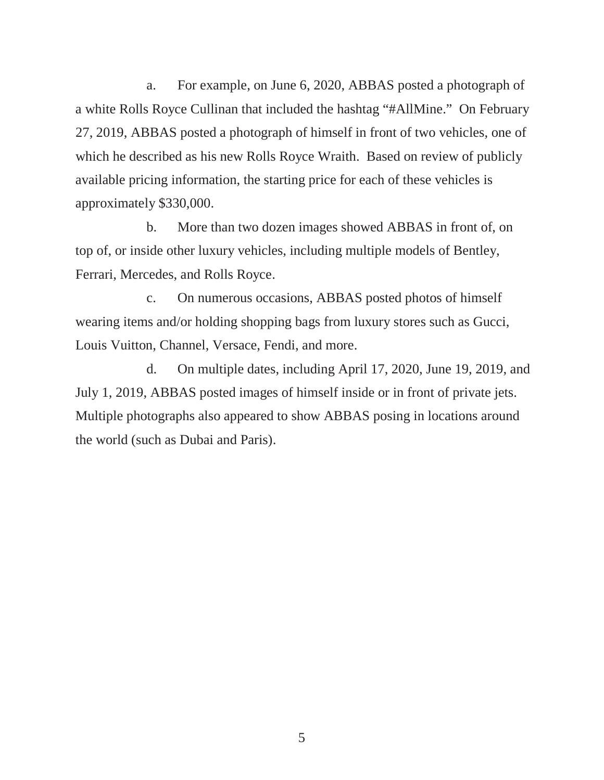a. For example, on June 6, 2020, ABBAS posted a photograph of a white Rolls Royce Cullinan that included the hashtag "#AllMine." On February 27, 2019, ABBAS posted a photograph of himself in front of two vehicles, one of which he described as his new Rolls Royce Wraith. Based on review of publicly available pricing information, the starting price for each of these vehicles is approximately \$330,000.

b. More than two dozen images showed ABBAS in front of, on top of, or inside other luxury vehicles, including multiple models of Bentley, Ferrari, Mercedes, and Rolls Royce.

c. On numerous occasions, ABBAS posted photos of himself wearing items and/or holding shopping bags from luxury stores such as Gucci, Louis Vuitton, Channel, Versace, Fendi, and more.

d. On multiple dates, including April 17, 2020, June 19, 2019, and July 1, 2019, ABBAS posted images of himself inside or in front of private jets. Multiple photographs also appeared to show ABBAS posing in locations around the world (such as Dubai and Paris).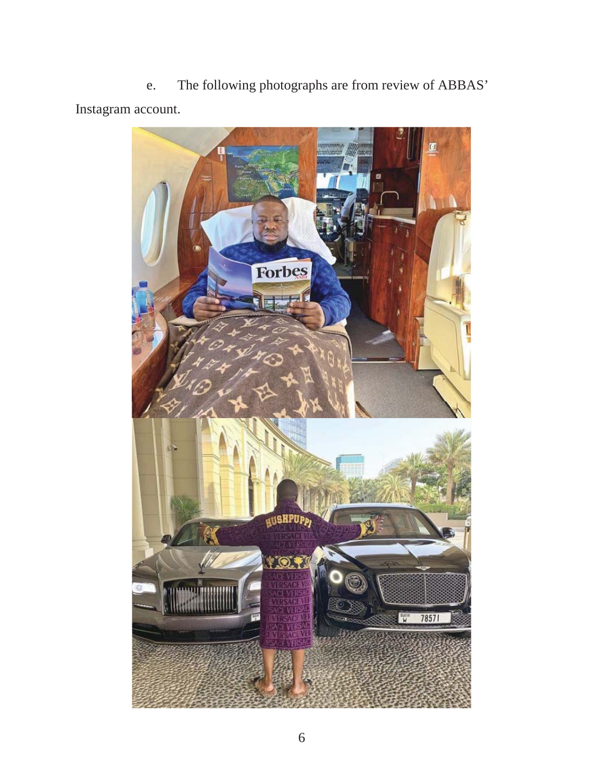e. The following photographs are from review of ABBAS' Instagram account.

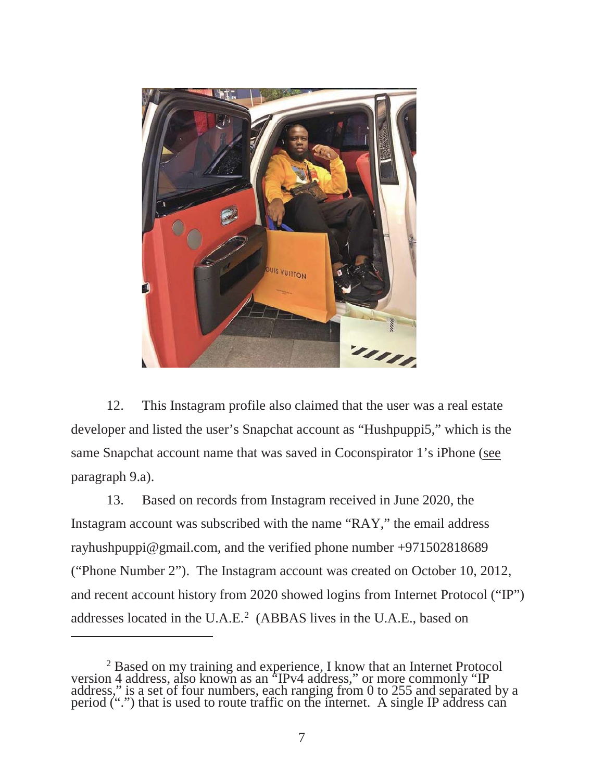

12. This Instagram profile also claimed that the user was a real estate developer and listed the user's Snapchat account as "Hushpuppi5," which is the same Snapchat account name that was saved in Coconspirator 1's iPhone (see paragraph 9.a).

13. Based on records from Instagram received in June 2020, the Instagram account was subscribed with the name "RAY," the email address rayhushpuppi@gmail.com, and the verified phone number +971502818689 ("Phone Number 2"). The Instagram account was created on October 10, 2012, and recent account history from 2020 showed logins from Internet Protocol ("IP") addresses located in the U.A.E.<sup>2</sup> (ABBAS lives in the U.A.E., based on

<sup>&</sup>lt;sup>2</sup> Based on my training and experience, I know that an Internet Protocol version 4 address, also known as an "IPv4 address," or more commonly "IP address," is a set of four numbers, each ranging from 0 to 255 and separated by a period (".") that is used to route traffic on the internet. A single IP address can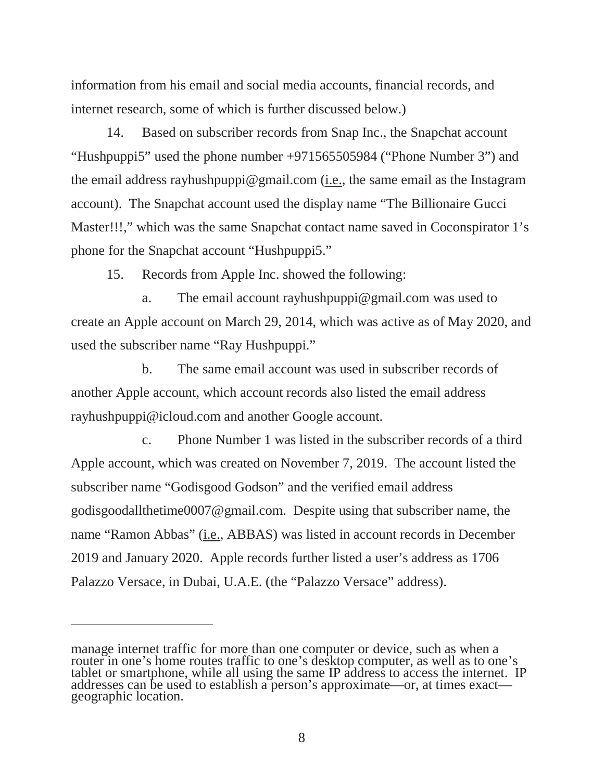information from his email and social media accounts, financial records, and internet research, some of which is further discussed below.)

14. Based on subscriber records from Snap Inc., the Snapchat account "Hushpuppi5" used the phone number +971565505984 ("Phone Number 3") and the email address rayhushpuppi@gmail.com (i.e., the same email as the Instagram account). The Snapchat account used the display name "The Billionaire Gucci Master!!!," which was the same Snapchat contact name saved in Coconspirator 1's phone for the Snapchat account "Hushpuppi5."

15. Records from Apple Inc. showed the following:

a. The email account rayhushpuppi@gmail.com was used to create an Apple account on March 29, 2014, which was active as of May 2020, and used the subscriber name "Ray Hushpuppi."

b. The same email account was used in subscriber records of another Apple account, which account records also listed the email address rayhushpuppi@icloud.com and another Google account.

c. Phone Number 1 was listed in the subscriber records of a third Apple account, which was created on November 7, 2019. The account listed the subscriber name "Godisgood Godson" and the verified email address godisgoodallthetime0007@gmail.com. Despite using that subscriber name, the name "Ramon Abbas" (i.e., ABBAS) was listed in account records in December 2019 and January 2020. Apple records further listed a user's address as 1706 Palazzo Versace, in Dubai, U.A.E. (the "Palazzo Versace" address).

manage internet traffic for more than one computer or device, such as when a router in one's home routes traffic to one's desktop computer, as well as to one's tablet or smartphone, while all using the same IP address to access the internet. IP addresses can be used to establish a person's approximate—or, at times exact— geographic location.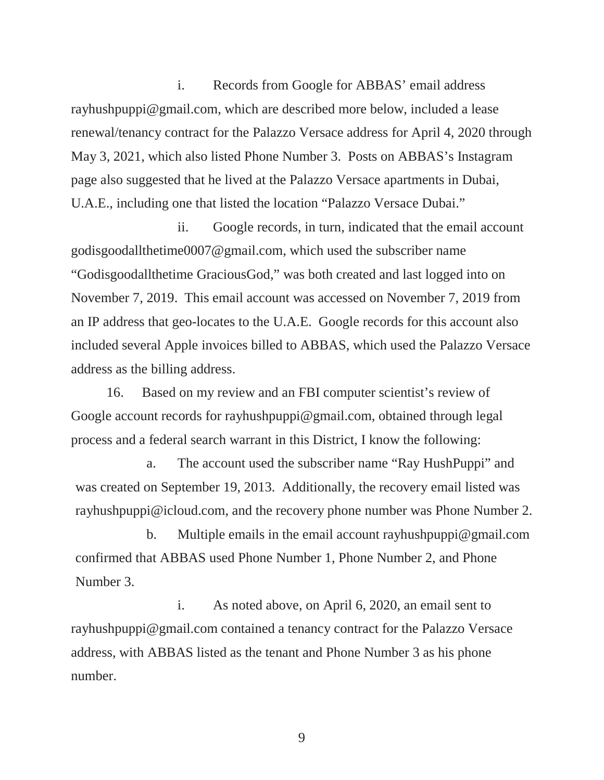i. Records from Google for ABBAS' email address rayhushpuppi@gmail.com, which are described more below, included a lease renewal/tenancy contract for the Palazzo Versace address for April 4, 2020 through May 3, 2021, which also listed Phone Number 3. Posts on ABBAS's Instagram page also suggested that he lived at the Palazzo Versace apartments in Dubai, U.A.E., including one that listed the location "Palazzo Versace Dubai."

ii. Google records, in turn, indicated that the email account godisgoodallthetime0007@gmail.com, which used the subscriber name "Godisgoodallthetime GraciousGod," was both created and last logged into on November 7, 2019. This email account was accessed on November 7, 2019 from an IP address that geo-locates to the U.A.E. Google records for this account also included several Apple invoices billed to ABBAS, which used the Palazzo Versace address as the billing address.

16. Based on my review and an FBI computer scientist's review of Google account records for rayhushpuppi@gmail.com, obtained through legal process and a federal search warrant in this District, I know the following:

a. The account used the subscriber name "Ray HushPuppi" and was created on September 19, 2013. Additionally, the recovery email listed was rayhushpuppi@icloud.com, and the recovery phone number was Phone Number 2.

b. Multiple emails in the email account rayhushpuppi@gmail.com confirmed that ABBAS used Phone Number 1, Phone Number 2, and Phone Number 3.

i. As noted above, on April 6, 2020, an email sent to rayhushpuppi@gmail.com contained a tenancy contract for the Palazzo Versace address, with ABBAS listed as the tenant and Phone Number 3 as his phone number.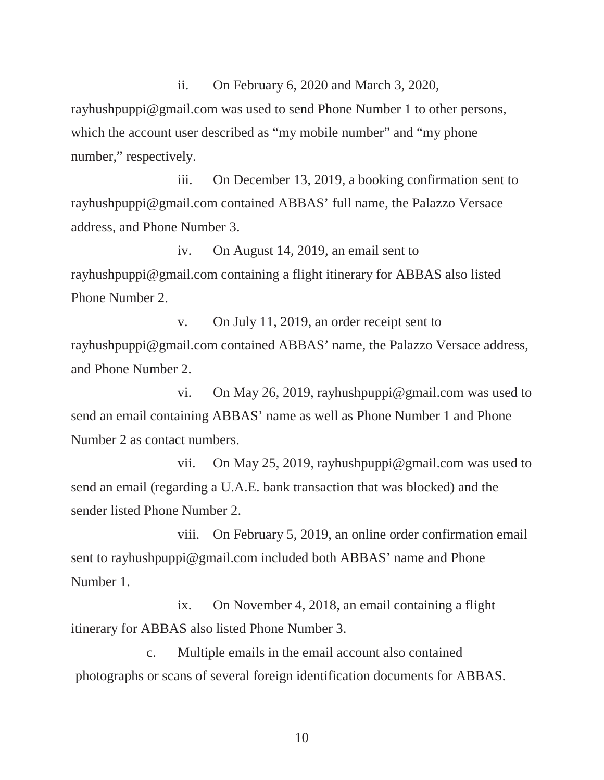ii. On February 6, 2020 and March 3, 2020, rayhushpuppi@gmail.com was used to send Phone Number 1 to other persons, which the account user described as "my mobile number" and "my phone number," respectively.

iii. On December 13, 2019, a booking confirmation sent to rayhushpuppi@gmail.com contained ABBAS' full name, the Palazzo Versace address, and Phone Number 3.

iv. On August 14, 2019, an email sent to rayhushpuppi@gmail.com containing a flight itinerary for ABBAS also listed Phone Number 2.

v. On July 11, 2019, an order receipt sent to rayhushpuppi@gmail.com contained ABBAS' name, the Palazzo Versace address, and Phone Number 2.

vi. On May 26, 2019, rayhushpuppi@gmail.com was used to send an email containing ABBAS' name as well as Phone Number 1 and Phone Number 2 as contact numbers.

vii. On May 25, 2019, rayhushpuppi@gmail.com was used to send an email (regarding a U.A.E. bank transaction that was blocked) and the sender listed Phone Number 2.

viii. On February 5, 2019, an online order confirmation email sent to rayhushpuppi@gmail.com included both ABBAS' name and Phone Number 1.

ix. On November 4, 2018, an email containing a flight itinerary for ABBAS also listed Phone Number 3.

c. Multiple emails in the email account also contained photographs or scans of several foreign identification documents for ABBAS.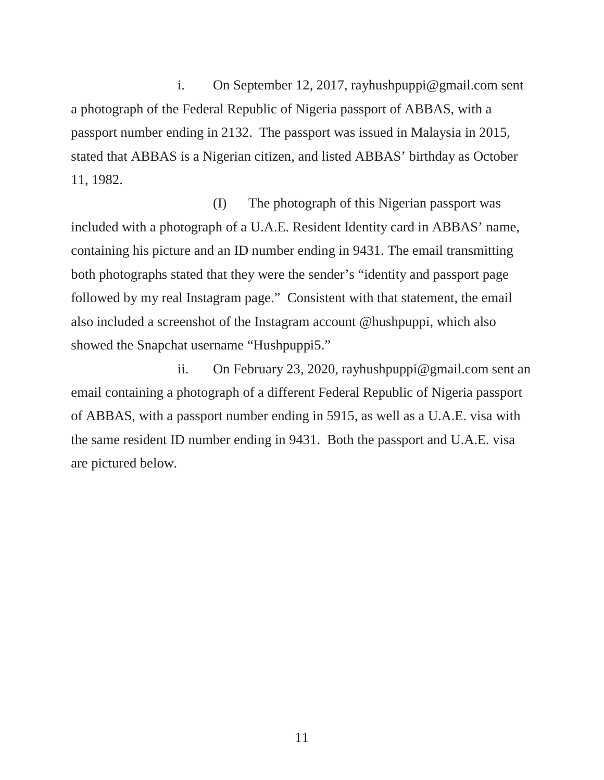i. On September 12, 2017, rayhushpuppi@gmail.com sent a photograph of the Federal Republic of Nigeria passport of ABBAS, with a passport number ending in 2132. The passport was issued in Malaysia in 2015, stated that ABBAS is a Nigerian citizen, and listed ABBAS' birthday as October 11, 1982.

(I) The photograph of this Nigerian passport was included with a photograph of a U.A.E. Resident Identity card in ABBAS' name, containing his picture and an ID number ending in 9431. The email transmitting both photographs stated that they were the sender's "identity and passport page followed by my real Instagram page." Consistent with that statement, the email also included a screenshot of the Instagram account @hushpuppi, which also showed the Snapchat username "Hushpuppi5."

ii. On February 23, 2020, rayhushpuppi@gmail.com sent an email containing a photograph of a different Federal Republic of Nigeria passport of ABBAS, with a passport number ending in 5915, as well as a U.A.E. visa with the same resident ID number ending in 9431. Both the passport and U.A.E. visa are pictured below.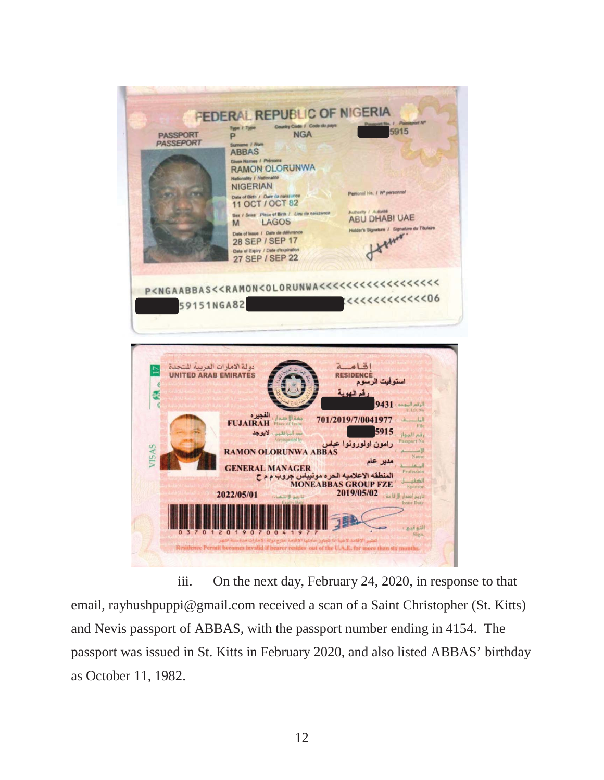

iii. On the next day, February 24, 2020, in response to that email, rayhushpuppi@gmail.com received a scan of a Saint Christopher (St. Kitts) and Nevis passport of ABBAS, with the passport number ending in 4154. The passport was issued in St. Kitts in February 2020, and also listed ABBAS' birthday as October 11, 1982.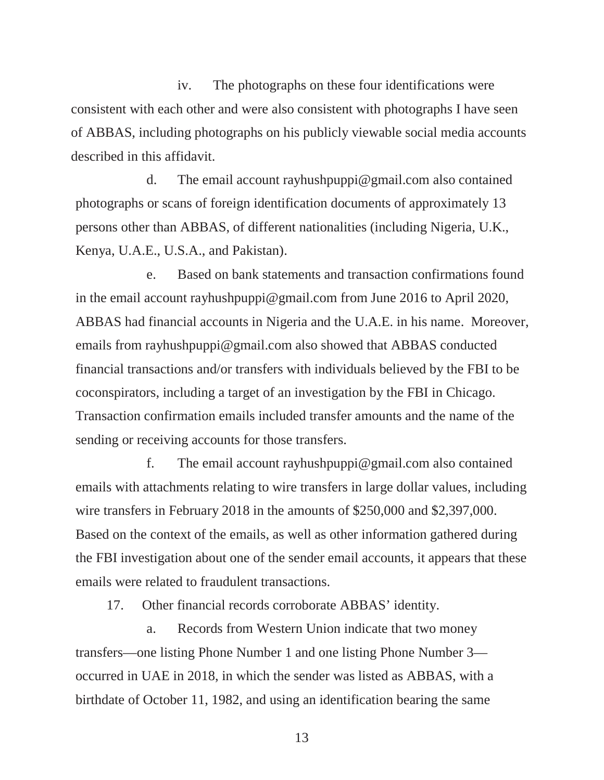iv. The photographs on these four identifications were consistent with each other and were also consistent with photographs I have seen of ABBAS, including photographs on his publicly viewable social media accounts described in this affidavit.

d. The email account rayhushpuppi@gmail.com also contained photographs or scans of foreign identification documents of approximately 13 persons other than ABBAS, of different nationalities (including Nigeria, U.K., Kenya, U.A.E., U.S.A., and Pakistan).

e. Based on bank statements and transaction confirmations found in the email account rayhushpuppi@gmail.com from June 2016 to April 2020, ABBAS had financial accounts in Nigeria and the U.A.E. in his name. Moreover, emails from rayhushpuppi@gmail.com also showed that ABBAS conducted financial transactions and/or transfers with individuals believed by the FBI to be coconspirators, including a target of an investigation by the FBI in Chicago. Transaction confirmation emails included transfer amounts and the name of the sending or receiving accounts for those transfers.

f. The email account rayhushpuppi@gmail.com also contained emails with attachments relating to wire transfers in large dollar values, including wire transfers in February 2018 in the amounts of \$250,000 and \$2,397,000. Based on the context of the emails, as well as other information gathered during the FBI investigation about one of the sender email accounts, it appears that these emails were related to fraudulent transactions.

17. Other financial records corroborate ABBAS' identity.

a. Records from Western Union indicate that two money transfers—one listing Phone Number 1 and one listing Phone Number 3 occurred in UAE in 2018, in which the sender was listed as ABBAS, with a birthdate of October 11, 1982, and using an identification bearing the same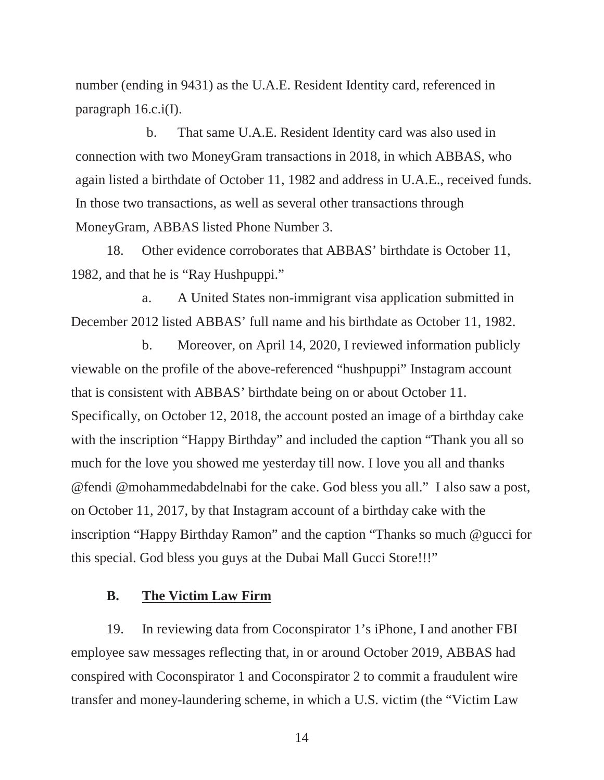number (ending in 9431) as the U.A.E. Resident Identity card, referenced in paragraph 16.c.i(I).

b. That same U.A.E. Resident Identity card was also used in connection with two MoneyGram transactions in 2018, in which ABBAS, who again listed a birthdate of October 11, 1982 and address in U.A.E., received funds. In those two transactions, as well as several other transactions through MoneyGram, ABBAS listed Phone Number 3.

18. Other evidence corroborates that ABBAS' birthdate is October 11, 1982, and that he is "Ray Hushpuppi."

a. A United States non-immigrant visa application submitted in December 2012 listed ABBAS' full name and his birthdate as October 11, 1982.

b. Moreover, on April 14, 2020, I reviewed information publicly viewable on the profile of the above-referenced "hushpuppi" Instagram account that is consistent with ABBAS' birthdate being on or about October 11. Specifically, on October 12, 2018, the account posted an image of a birthday cake with the inscription "Happy Birthday" and included the caption "Thank you all so much for the love you showed me yesterday till now. I love you all and thanks @fendi @mohammedabdelnabi for the cake. God bless you all." I also saw a post, on October 11, 2017, by that Instagram account of a birthday cake with the inscription "Happy Birthday Ramon" and the caption "Thanks so much @gucci for this special. God bless you guys at the Dubai Mall Gucci Store!!!"

#### **B. The Victim Law Firm**

19. In reviewing data from Coconspirator 1's iPhone, I and another FBI employee saw messages reflecting that, in or around October 2019, ABBAS had conspired with Coconspirator 1 and Coconspirator 2 to commit a fraudulent wire transfer and money-laundering scheme, in which a U.S. victim (the "Victim Law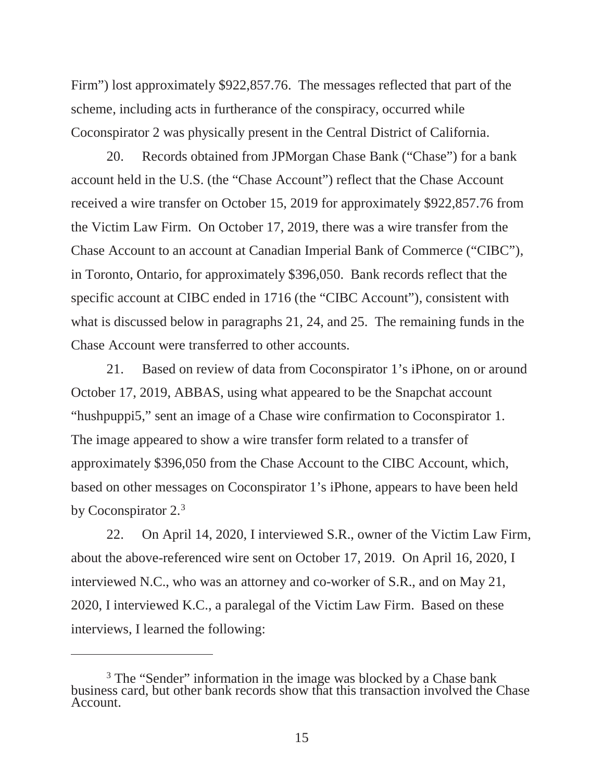Firm") lost approximately \$922,857.76. The messages reflected that part of the scheme, including acts in furtherance of the conspiracy, occurred while Coconspirator 2 was physically present in the Central District of California.

20. Records obtained from JPMorgan Chase Bank ("Chase") for a bank account held in the U.S. (the "Chase Account") reflect that the Chase Account received a wire transfer on October 15, 2019 for approximately \$922,857.76 from the Victim Law Firm. On October 17, 2019, there was a wire transfer from the Chase Account to an account at Canadian Imperial Bank of Commerce ("CIBC"), in Toronto, Ontario, for approximately \$396,050. Bank records reflect that the specific account at CIBC ended in 1716 (the "CIBC Account"), consistent with what is discussed below in paragraphs 21, 24, and 25. The remaining funds in the Chase Account were transferred to other accounts.

21. Based on review of data from Coconspirator 1's iPhone, on or around October 17, 2019, ABBAS, using what appeared to be the Snapchat account "hushpuppi5," sent an image of a Chase wire confirmation to Coconspirator 1. The image appeared to show a wire transfer form related to a transfer of approximately \$396,050 from the Chase Account to the CIBC Account, which, based on other messages on Coconspirator 1's iPhone, appears to have been held by Coconspirator 2.3

22. On April 14, 2020, I interviewed S.R., owner of the Victim Law Firm, about the above-referenced wire sent on October 17, 2019. On April 16, 2020, I interviewed N.C., who was an attorney and co-worker of S.R., and on May 21, 2020, I interviewed K.C., a paralegal of the Victim Law Firm. Based on these interviews, I learned the following:

<sup>&</sup>lt;sup>3</sup> The "Sender" information in the image was blocked by a Chase bank business card, but other bank records show that this transaction involved the Chase Account.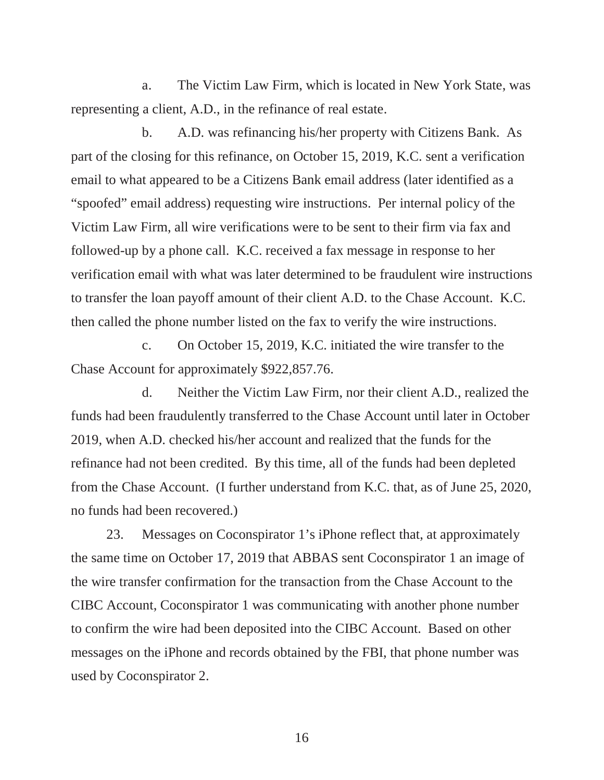a. The Victim Law Firm, which is located in New York State, was representing a client, A.D., in the refinance of real estate.

b. A.D. was refinancing his/her property with Citizens Bank. As part of the closing for this refinance, on October 15, 2019, K.C. sent a verification email to what appeared to be a Citizens Bank email address (later identified as a "spoofed" email address) requesting wire instructions. Per internal policy of the Victim Law Firm, all wire verifications were to be sent to their firm via fax and followed-up by a phone call. K.C. received a fax message in response to her verification email with what was later determined to be fraudulent wire instructions to transfer the loan payoff amount of their client A.D. to the Chase Account. K.C. then called the phone number listed on the fax to verify the wire instructions.

c. On October 15, 2019, K.C. initiated the wire transfer to the Chase Account for approximately \$922,857.76.

d. Neither the Victim Law Firm, nor their client A.D., realized the funds had been fraudulently transferred to the Chase Account until later in October 2019, when A.D. checked his/her account and realized that the funds for the refinance had not been credited. By this time, all of the funds had been depleted from the Chase Account. (I further understand from K.C. that, as of June 25, 2020, no funds had been recovered.)

23. Messages on Coconspirator 1's iPhone reflect that, at approximately the same time on October 17, 2019 that ABBAS sent Coconspirator 1 an image of the wire transfer confirmation for the transaction from the Chase Account to the CIBC Account, Coconspirator 1 was communicating with another phone number to confirm the wire had been deposited into the CIBC Account. Based on other messages on the iPhone and records obtained by the FBI, that phone number was used by Coconspirator 2.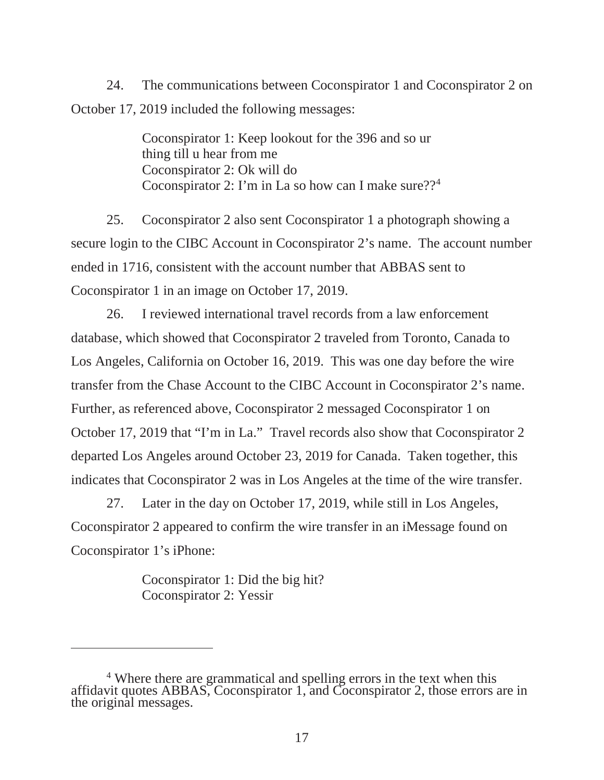24. The communications between Coconspirator 1 and Coconspirator 2 on October 17, 2019 included the following messages:

> Coconspirator 1: Keep lookout for the 396 and so ur thing till u hear from me Coconspirator 2: Ok will do Coconspirator 2: I'm in La so how can I make sure??<sup>4</sup>

25. Coconspirator 2 also sent Coconspirator 1 a photograph showing a secure login to the CIBC Account in Coconspirator 2's name. The account number ended in 1716, consistent with the account number that ABBAS sent to Coconspirator 1 in an image on October 17, 2019.

26. I reviewed international travel records from a law enforcement database, which showed that Coconspirator 2 traveled from Toronto, Canada to Los Angeles, California on October 16, 2019. This was one day before the wire transfer from the Chase Account to the CIBC Account in Coconspirator 2's name. Further, as referenced above, Coconspirator 2 messaged Coconspirator 1 on October 17, 2019 that "I'm in La." Travel records also show that Coconspirator 2 departed Los Angeles around October 23, 2019 for Canada. Taken together, this indicates that Coconspirator 2 was in Los Angeles at the time of the wire transfer.

27. Later in the day on October 17, 2019, while still in Los Angeles, Coconspirator 2 appeared to confirm the wire transfer in an iMessage found on Coconspirator 1's iPhone:

> Coconspirator 1: Did the big hit? Coconspirator 2: Yessir

<sup>4</sup> Where there are grammatical and spelling errors in the text when this affidavit quotes ABBAS, Coconspirator 1, and Coconspirator 2, those errors are in the original messages.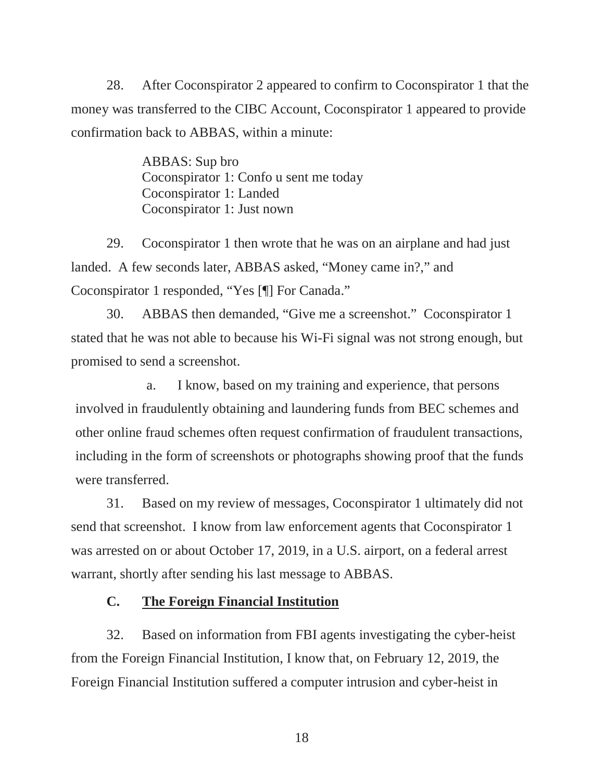28. After Coconspirator 2 appeared to confirm to Coconspirator 1 that the money was transferred to the CIBC Account, Coconspirator 1 appeared to provide confirmation back to ABBAS, within a minute:

> ABBAS: Sup bro Coconspirator 1: Confo u sent me today Coconspirator 1: Landed Coconspirator 1: Just nown

29. Coconspirator 1 then wrote that he was on an airplane and had just landed. A few seconds later, ABBAS asked, "Money came in?," and Coconspirator 1 responded, "Yes [¶] For Canada."

30. ABBAS then demanded, "Give me a screenshot." Coconspirator 1 stated that he was not able to because his Wi-Fi signal was not strong enough, but promised to send a screenshot.

a. I know, based on my training and experience, that persons involved in fraudulently obtaining and laundering funds from BEC schemes and other online fraud schemes often request confirmation of fraudulent transactions, including in the form of screenshots or photographs showing proof that the funds were transferred.

31. Based on my review of messages, Coconspirator 1 ultimately did not send that screenshot. I know from law enforcement agents that Coconspirator 1 was arrested on or about October 17, 2019, in a U.S. airport, on a federal arrest warrant, shortly after sending his last message to ABBAS.

## **C. The Foreign Financial Institution**

32. Based on information from FBI agents investigating the cyber-heist from the Foreign Financial Institution, I know that, on February 12, 2019, the Foreign Financial Institution suffered a computer intrusion and cyber-heist in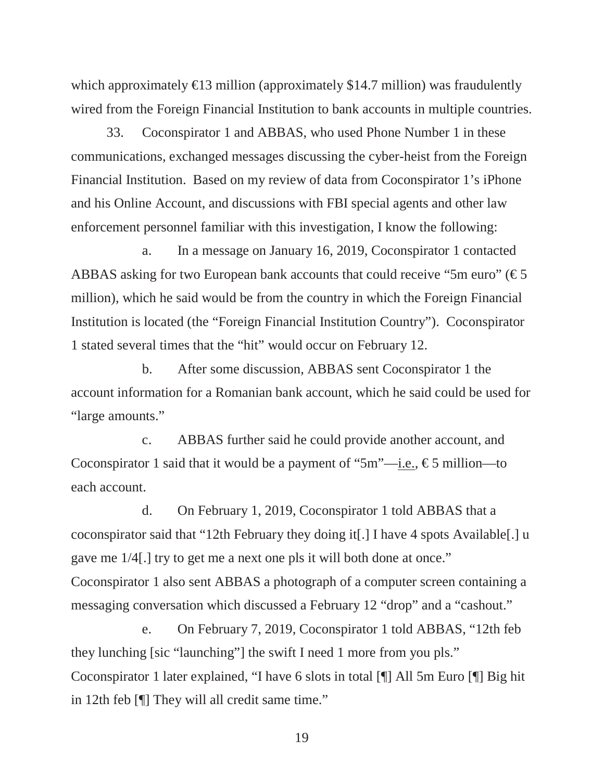which approximately  $\text{\textsterling}3$  million (approximately \$14.7 million) was fraudulently wired from the Foreign Financial Institution to bank accounts in multiple countries.

33. Coconspirator 1 and ABBAS, who used Phone Number 1 in these communications, exchanged messages discussing the cyber-heist from the Foreign Financial Institution. Based on my review of data from Coconspirator 1's iPhone and his Online Account, and discussions with FBI special agents and other law enforcement personnel familiar with this investigation, I know the following:

a. In a message on January 16, 2019, Coconspirator 1 contacted ABBAS asking for two European bank accounts that could receive "5m euro" ( $\epsilon$ 5 million), which he said would be from the country in which the Foreign Financial Institution is located (the "Foreign Financial Institution Country"). Coconspirator 1 stated several times that the "hit" would occur on February 12.

b. After some discussion, ABBAS sent Coconspirator 1 the account information for a Romanian bank account, which he said could be used for "large amounts."

c. ABBAS further said he could provide another account, and Coconspirator 1 said that it would be a payment of "5m"—i.e.,  $\epsilon$ 5 million—to each account.

d. On February 1, 2019, Coconspirator 1 told ABBAS that a coconspirator said that "12th February they doing it[.] I have 4 spots Available[.] u gave me 1/4[.] try to get me a next one pls it will both done at once." Coconspirator 1 also sent ABBAS a photograph of a computer screen containing a messaging conversation which discussed a February 12 "drop" and a "cashout."

e. On February 7, 2019, Coconspirator 1 told ABBAS, "12th feb they lunching [sic "launching"] the swift I need 1 more from you pls." Coconspirator 1 later explained, "I have 6 slots in total [¶] All 5m Euro [¶] Big hit in 12th feb [¶] They will all credit same time."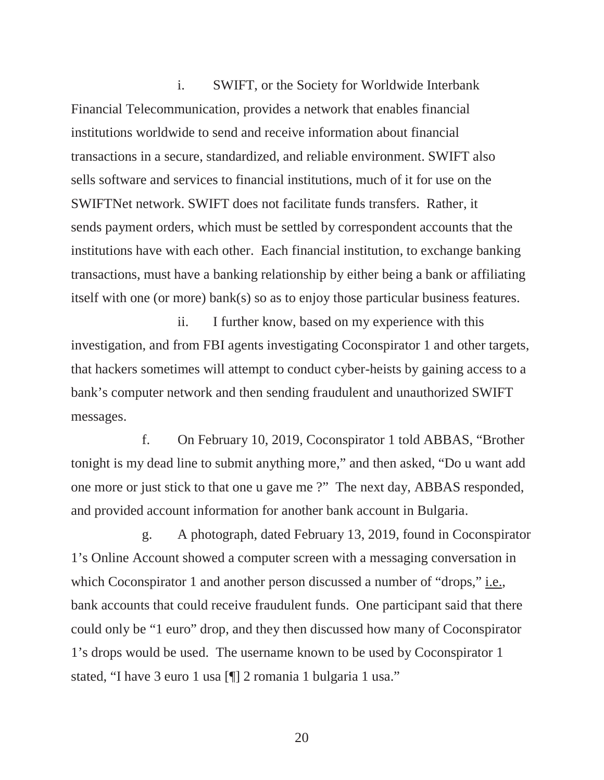i. SWIFT, or the Society for Worldwide Interbank Financial Telecommunication, provides a network that enables financial institutions worldwide to send and receive information about financial transactions in a secure, standardized, and reliable environment. SWIFT also sells software and services to financial institutions, much of it for use on the SWIFTNet network. SWIFT does not facilitate funds transfers. Rather, it sends payment orders, which must be settled by correspondent accounts that the institutions have with each other. Each financial institution, to exchange banking transactions, must have a banking relationship by either being a bank or affiliating itself with one (or more) bank(s) so as to enjoy those particular business features.

ii. I further know, based on my experience with this investigation, and from FBI agents investigating Coconspirator 1 and other targets, that hackers sometimes will attempt to conduct cyber-heists by gaining access to a bank's computer network and then sending fraudulent and unauthorized SWIFT messages.

f. On February 10, 2019, Coconspirator 1 told ABBAS, "Brother tonight is my dead line to submit anything more," and then asked, "Do u want add one more or just stick to that one u gave me ?" The next day, ABBAS responded, and provided account information for another bank account in Bulgaria.

g. A photograph, dated February 13, 2019, found in Coconspirator 1's Online Account showed a computer screen with a messaging conversation in which Coconspirator 1 and another person discussed a number of "drops," i.e., bank accounts that could receive fraudulent funds. One participant said that there could only be "1 euro" drop, and they then discussed how many of Coconspirator 1's drops would be used. The username known to be used by Coconspirator 1 stated, "I have 3 euro 1 usa [¶] 2 romania 1 bulgaria 1 usa."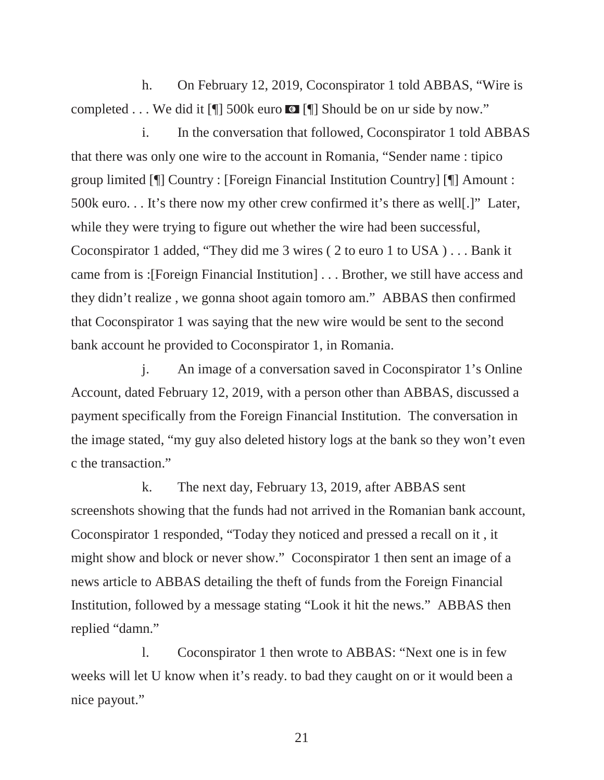h. On February 12, 2019, Coconspirator 1 told ABBAS, "Wire is completed  $\dots$  We did it [[]] 500k euro  $\bullet$  [[]] Should be on ur side by now."

i. In the conversation that followed, Coconspirator 1 told ABBAS that there was only one wire to the account in Romania, "Sender name : tipico group limited [¶] Country : [Foreign Financial Institution Country] [¶] Amount : 500k euro. . . It's there now my other crew confirmed it's there as well[.]" Later, while they were trying to figure out whether the wire had been successful, Coconspirator 1 added, "They did me 3 wires ( 2 to euro 1 to USA ) . . . Bank it came from is :[Foreign Financial Institution] . . . Brother, we still have access and they didn't realize , we gonna shoot again tomoro am." ABBAS then confirmed that Coconspirator 1 was saying that the new wire would be sent to the second bank account he provided to Coconspirator 1, in Romania.

j. An image of a conversation saved in Coconspirator 1's Online Account, dated February 12, 2019, with a person other than ABBAS, discussed a payment specifically from the Foreign Financial Institution. The conversation in the image stated, "my guy also deleted history logs at the bank so they won't even c the transaction."

k. The next day, February 13, 2019, after ABBAS sent screenshots showing that the funds had not arrived in the Romanian bank account, Coconspirator 1 responded, "Today they noticed and pressed a recall on it , it might show and block or never show." Coconspirator 1 then sent an image of a news article to ABBAS detailing the theft of funds from the Foreign Financial Institution, followed by a message stating "Look it hit the news." ABBAS then replied "damn."

l. Coconspirator 1 then wrote to ABBAS: "Next one is in few weeks will let U know when it's ready. to bad they caught on or it would been a nice payout."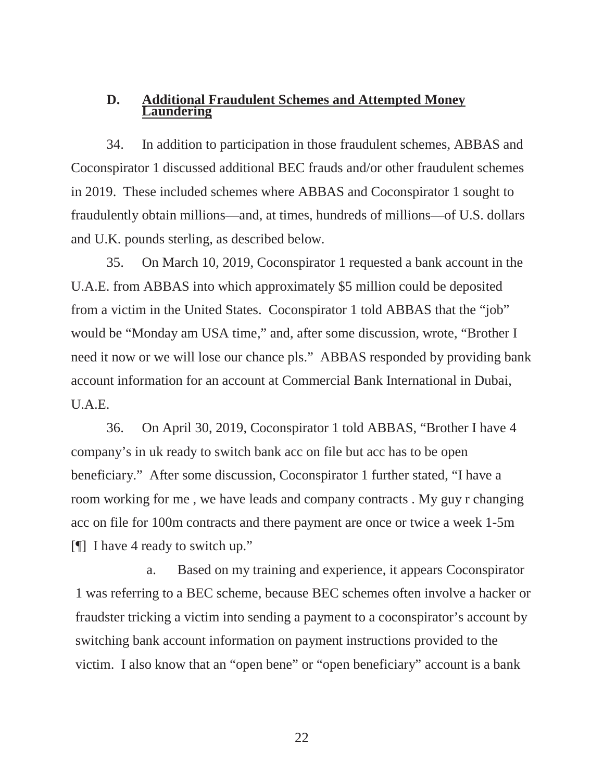# **D. Additional Fraudulent Schemes and Attempted Money Laundering**

34. In addition to participation in those fraudulent schemes, ABBAS and Coconspirator 1 discussed additional BEC frauds and/or other fraudulent schemes in 2019. These included schemes where ABBAS and Coconspirator 1 sought to fraudulently obtain millions—and, at times, hundreds of millions—of U.S. dollars and U.K. pounds sterling, as described below.

35. On March 10, 2019, Coconspirator 1 requested a bank account in the U.A.E. from ABBAS into which approximately \$5 million could be deposited from a victim in the United States. Coconspirator 1 told ABBAS that the "job" would be "Monday am USA time," and, after some discussion, wrote, "Brother I need it now or we will lose our chance pls." ABBAS responded by providing bank account information for an account at Commercial Bank International in Dubai, U.A.E.

36. On April 30, 2019, Coconspirator 1 told ABBAS, "Brother I have 4 company's in uk ready to switch bank acc on file but acc has to be open beneficiary." After some discussion, Coconspirator 1 further stated, "I have a room working for me , we have leads and company contracts . My guy r changing acc on file for 100m contracts and there payment are once or twice a week 1-5m [¶] I have 4 ready to switch up."

a. Based on my training and experience, it appears Coconspirator 1 was referring to a BEC scheme, because BEC schemes often involve a hacker or fraudster tricking a victim into sending a payment to a coconspirator's account by switching bank account information on payment instructions provided to the victim. I also know that an "open bene" or "open beneficiary" account is a bank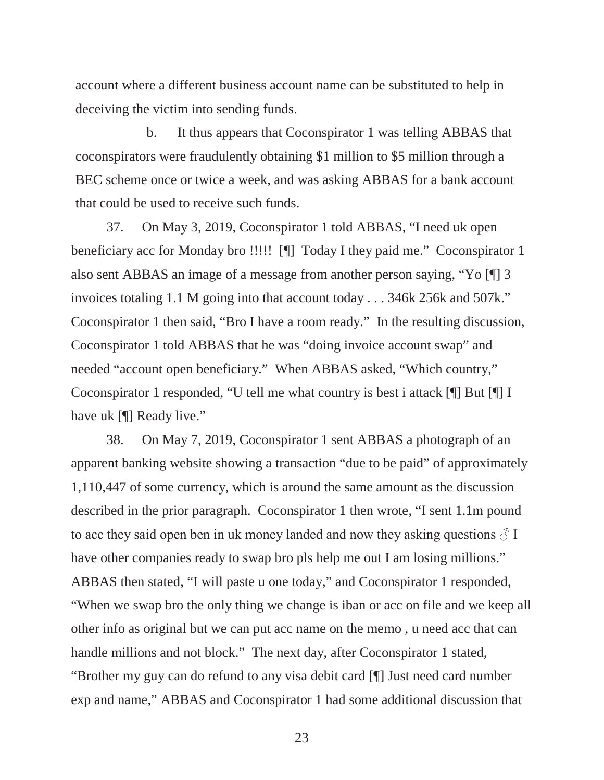account where a different business account name can be substituted to help in deceiving the victim into sending funds.

b. It thus appears that Coconspirator 1 was telling ABBAS that coconspirators were fraudulently obtaining \$1 million to \$5 million through a BEC scheme once or twice a week, and was asking ABBAS for a bank account that could be used to receive such funds.

37. On May 3, 2019, Coconspirator 1 told ABBAS, "I need uk open beneficiary acc for Monday bro !!!!! [¶] Today I they paid me." Coconspirator 1 also sent ABBAS an image of a message from another person saying, "Yo [¶] 3 invoices totaling 1.1 M going into that account today . . . 346k 256k and 507k." Coconspirator 1 then said, "Bro I have a room ready." In the resulting discussion, Coconspirator 1 told ABBAS that he was "doing invoice account swap" and needed "account open beneficiary." When ABBAS asked, "Which country," Coconspirator 1 responded, "U tell me what country is best i attack [¶] But [¶] I have uk [¶] Ready live."

38. On May 7, 2019, Coconspirator 1 sent ABBAS a photograph of an apparent banking website showing a transaction "due to be paid" of approximately 1,110,447 of some currency, which is around the same amount as the discussion described in the prior paragraph. Coconspirator 1 then wrote, "I sent 1.1m pound to acc they said open ben in uk money landed and now they asking questions  $\delta \Gamma$ have other companies ready to swap bro pls help me out I am losing millions." ABBAS then stated, "I will paste u one today," and Coconspirator 1 responded, "When we swap bro the only thing we change is iban or acc on file and we keep all other info as original but we can put acc name on the memo , u need acc that can handle millions and not block." The next day, after Coconspirator 1 stated, "Brother my guy can do refund to any visa debit card [¶] Just need card number exp and name," ABBAS and Coconspirator 1 had some additional discussion that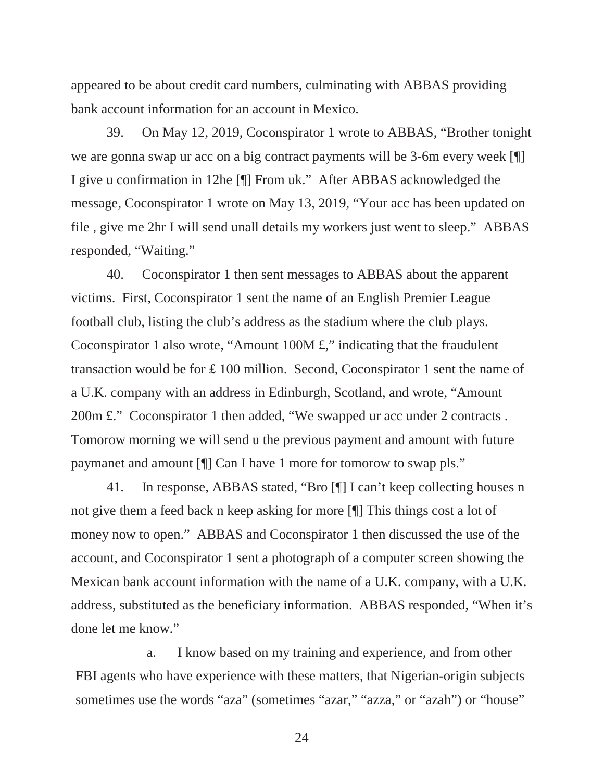appeared to be about credit card numbers, culminating with ABBAS providing bank account information for an account in Mexico.

39. On May 12, 2019, Coconspirator 1 wrote to ABBAS, "Brother tonight we are gonna swap ur acc on a big contract payments will be 3-6m every week [¶] I give u confirmation in 12he [¶] From uk." After ABBAS acknowledged the message, Coconspirator 1 wrote on May 13, 2019, "Your acc has been updated on file , give me 2hr I will send unall details my workers just went to sleep." ABBAS responded, "Waiting."

40. Coconspirator 1 then sent messages to ABBAS about the apparent victims. First, Coconspirator 1 sent the name of an English Premier League football club, listing the club's address as the stadium where the club plays. Coconspirator 1 also wrote, "Amount 100M £," indicating that the fraudulent transaction would be for  $\pounds$  100 million. Second, Coconspirator 1 sent the name of a U.K. company with an address in Edinburgh, Scotland, and wrote, "Amount 200m £." Coconspirator 1 then added, "We swapped ur acc under 2 contracts. Tomorow morning we will send u the previous payment and amount with future paymanet and amount [¶] Can I have 1 more for tomorow to swap pls."

41. In response, ABBAS stated, "Bro [¶] I can't keep collecting houses n not give them a feed back n keep asking for more [¶] This things cost a lot of money now to open." ABBAS and Coconspirator 1 then discussed the use of the account, and Coconspirator 1 sent a photograph of a computer screen showing the Mexican bank account information with the name of a U.K. company, with a U.K. address, substituted as the beneficiary information. ABBAS responded, "When it's done let me know."

a. I know based on my training and experience, and from other FBI agents who have experience with these matters, that Nigerian-origin subjects sometimes use the words "aza" (sometimes "azar," "azza," or "azah") or "house"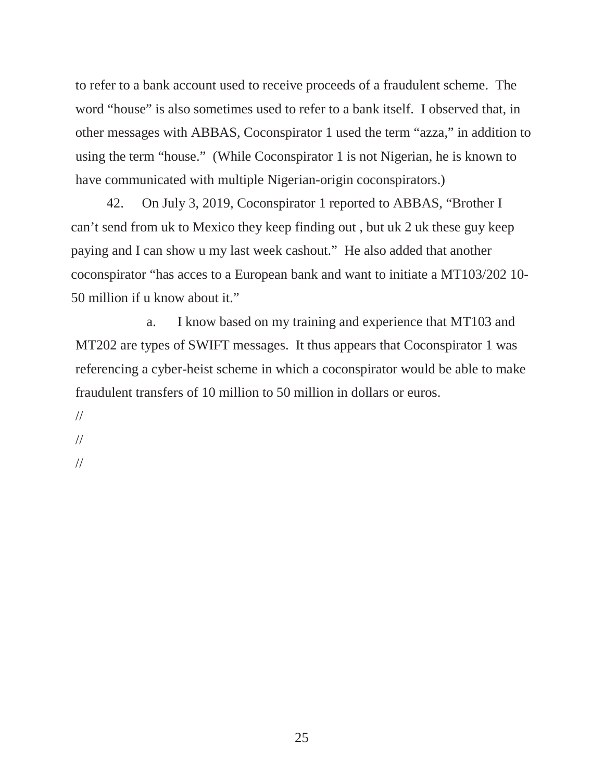to refer to a bank account used to receive proceeds of a fraudulent scheme. The word "house" is also sometimes used to refer to a bank itself. I observed that, in other messages with ABBAS, Coconspirator 1 used the term "azza," in addition to using the term "house." (While Coconspirator 1 is not Nigerian, he is known to have communicated with multiple Nigerian-origin coconspirators.)

42. On July 3, 2019, Coconspirator 1 reported to ABBAS, "Brother I can't send from uk to Mexico they keep finding out , but uk 2 uk these guy keep paying and I can show u my last week cashout." He also added that another coconspirator "has acces to a European bank and want to initiate a MT103/202 10- 50 million if u know about it."

a. I know based on my training and experience that MT103 and MT202 are types of SWIFT messages. It thus appears that Coconspirator 1 was referencing a cyber-heist scheme in which a coconspirator would be able to make fraudulent transfers of 10 million to 50 million in dollars or euros.

// //

//